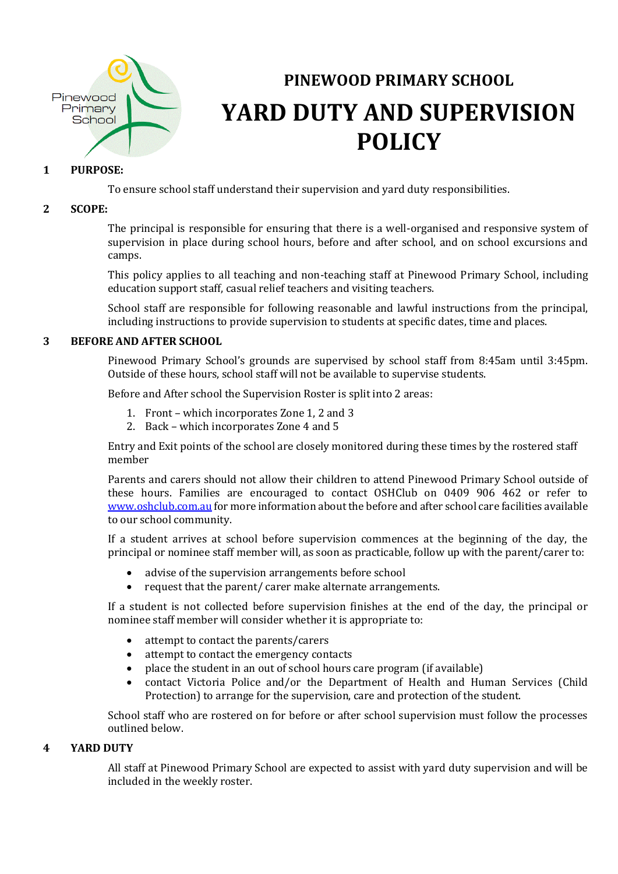

# **PINEWOOD PRIMARY SCHOOL YARD DUTY AND SUPERVISION POLICY**

### **1 PURPOSE:**

To ensure school staff understand their supervision and yard duty responsibilities.

#### **2 SCOPE:**

The principal is responsible for ensuring that there is a well-organised and responsive system of supervision in place during school hours, before and after school, and on school excursions and camps.

This policy applies to all teaching and non-teaching staff at Pinewood Primary School, including education support staff, casual relief teachers and visiting teachers.

School staff are responsible for following reasonable and lawful instructions from the principal, including instructions to provide supervision to students at specific dates, time and places.

#### **3 BEFORE AND AFTER SCHOOL**

Pinewood Primary School's grounds are supervised by school staff from 8:45am until 3:45pm. Outside of these hours, school staff will not be available to supervise students.

Before and After school the Supervision Roster is split into 2 areas:

- 1. Front which incorporates Zone 1, 2 and 3
- 2. Back which incorporates Zone 4 and 5

Entry and Exit points of the school are closely monitored during these times by the rostered staff member

Parents and carers should not allow their children to attend Pinewood Primary School outside of these hours. Families are encouraged to contact OSHClub on 0409 906 462 or refer to [www.oshclub.com.au](http://www.oshclub.com.au/) for more information about the before and after school care facilities available to our school community.

If a student arrives at school before supervision commences at the beginning of the day, the principal or nominee staff member will, as soon as practicable, follow up with the parent/carer to:

- advise of the supervision arrangements before school
- request that the parent/ carer make alternate arrangements.

If a student is not collected before supervision finishes at the end of the day, the principal or nominee staff member will consider whether it is appropriate to:

- attempt to contact the parents/carers
- attempt to contact the emergency contacts
- place the student in an out of school hours care program (if available)
- contact Victoria Police and/or the Department of Health and Human Services (Child Protection) to arrange for the supervision, care and protection of the student.

School staff who are rostered on for before or after school supervision must follow the processes outlined below.

#### **4 YARD DUTY**

All staff at Pinewood Primary School are expected to assist with yard duty supervision and will be included in the weekly roster.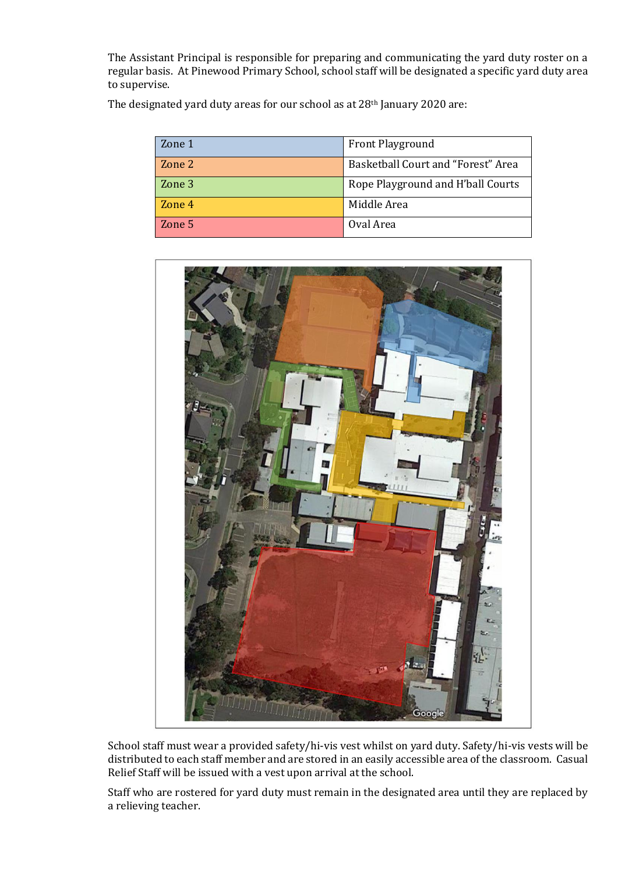The Assistant Principal is responsible for preparing and communicating the yard duty roster on a regular basis. At Pinewood Primary School, school staff will be designated a specific yard duty area to supervise.

The designated yard duty areas for our school as at 28<sup>th</sup> January 2020 are:

| Zone 1 | <b>Front Playground</b>            |
|--------|------------------------------------|
| Zone 2 | Basketball Court and "Forest" Area |
| Zone 3 | Rope Playground and H'ball Courts  |
| Zone 4 | Middle Area                        |
| Zone 5 | Oval Area                          |



School staff must wear a provided safety/hi-vis vest whilst on yard duty. Safety/hi-vis vests will be distributed to each staff member and are stored in an easily accessible area of the classroom. Casual Relief Staff will be issued with a vest upon arrival at the school.

Staff who are rostered for yard duty must remain in the designated area until they are replaced by a relieving teacher.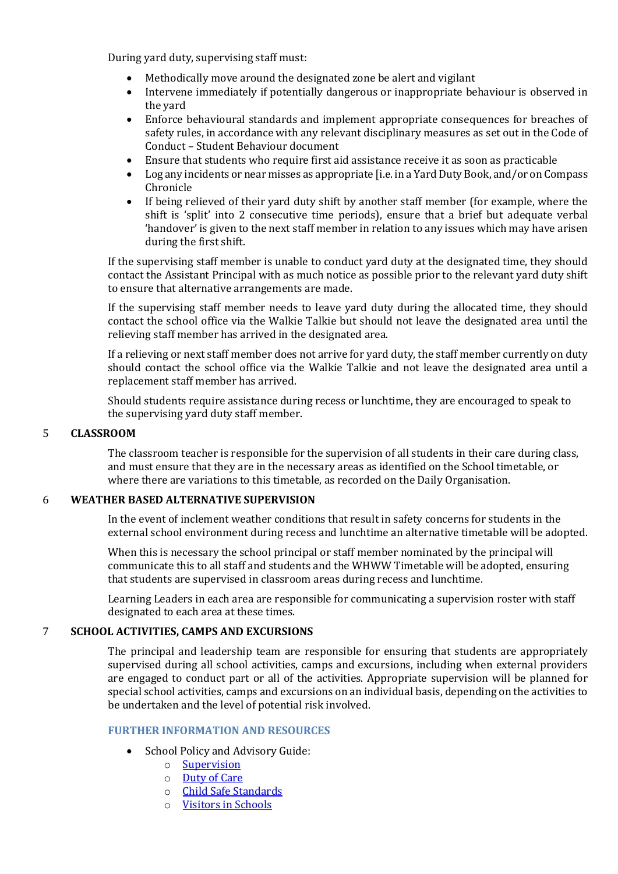During yard duty, supervising staff must:

- Methodically move around the designated zone be alert and vigilant
- Intervene immediately if potentially dangerous or inappropriate behaviour is observed in the yard
- Enforce behavioural standards and implement appropriate consequences for breaches of safety rules, in accordance with any relevant disciplinary measures as set out in the Code of Conduct – Student Behaviour document
- Ensure that students who require first aid assistance receive it as soon as practicable
- Log any incidents or near misses as appropriate [i.e. in a Yard Duty Book, and/or on Compass Chronicle
- If being relieved of their yard duty shift by another staff member (for example, where the shift is 'split' into 2 consecutive time periods), ensure that a brief but adequate verbal 'handover' is given to the next staff member in relation to any issues which may have arisen during the first shift.

If the supervising staff member is unable to conduct yard duty at the designated time, they should contact the Assistant Principal with as much notice as possible prior to the relevant yard duty shift to ensure that alternative arrangements are made.

If the supervising staff member needs to leave yard duty during the allocated time, they should contact the school office via the Walkie Talkie but should not leave the designated area until the relieving staff member has arrived in the designated area.

If a relieving or next staff member does not arrive for yard duty, the staff member currently on duty should contact the school office via the Walkie Talkie and not leave the designated area until a replacement staff member has arrived.

Should students require assistance during recess or lunchtime, they are encouraged to speak to the supervising yard duty staff member.

#### 5 **CLASSROOM**

The classroom teacher is responsible for the supervision of all students in their care during class, and must ensure that they are in the necessary areas as identified on the School timetable, or where there are variations to this timetable, as recorded on the Daily Organisation.

## 6 **WEATHER BASED ALTERNATIVE SUPERVISION**

In the event of inclement weather conditions that result in safety concerns for students in the external school environment during recess and lunchtime an alternative timetable will be adopted.

When this is necessary the school principal or staff member nominated by the principal will communicate this to all staff and students and the WHWW Timetable will be adopted, ensuring that students are supervised in classroom areas during recess and lunchtime.

Learning Leaders in each area are responsible for communicating a supervision roster with staff designated to each area at these times.

#### 7 **SCHOOL ACTIVITIES, CAMPS AND EXCURSIONS**

The principal and leadership team are responsible for ensuring that students are appropriately supervised during all school activities, camps and excursions, including when external providers are engaged to conduct part or all of the activities. Appropriate supervision will be planned for special school activities, camps and excursions on an individual basis, depending on the activities to be undertaken and the level of potential risk involved.

#### **FURTHER INFORMATION AND RESOURCES**

- School Policy and Advisory Guide:
	- o [Supervision](http://www.education.vic.gov.au/school/principals/spag/safety/pages/supervision.aspx)
	- o [Duty of Care](http://www.education.vic.gov.au/school/principals/spag/safety/Pages/dutyofcare.aspx)
	- o [Child Safe Standards](http://www.education.vic.gov.au/school/principals/spag/safety/Pages/childsafestandards.aspx)
	- o [Visitors in Schools](http://www.education.vic.gov.au/school/principals/spag/safety/Pages/visitorsinschool.aspx)